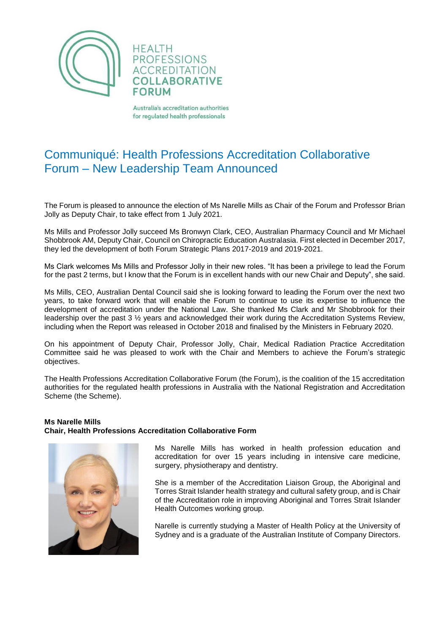

**HEALTH PROFESSIONS ACCREDITATION COLLABORATIVE FORUM** 

Australia's accreditation authorities for regulated health professionals

## Communiqué: Health Professions Accreditation Collaborative Forum – New Leadership Team Announced

The Forum is pleased to announce the election of Ms Narelle Mills as Chair of the Forum and Professor Brian Jolly as Deputy Chair, to take effect from 1 July 2021.

Ms Mills and Professor Jolly succeed Ms Bronwyn Clark, CEO, Australian Pharmacy Council and Mr Michael Shobbrook AM, Deputy Chair, Council on Chiropractic Education Australasia. First elected in December 2017, they led the development of both Forum Strategic Plans 2017-2019 and 2019-2021.

Ms Clark welcomes Ms Mills and Professor Jolly in their new roles. "It has been a privilege to lead the Forum for the past 2 terms, but I know that the Forum is in excellent hands with our new Chair and Deputy", she said.

Ms Mills, CEO, Australian Dental Council said she is looking forward to leading the Forum over the next two years, to take forward work that will enable the Forum to continue to use its expertise to influence the development of accreditation under the National Law. She thanked Ms Clark and Mr Shobbrook for their leadership over the past 3 ½ years and acknowledged their work during the Accreditation Systems Review, including when the Report was released in October 2018 and finalised by the Ministers in February 2020.

On his appointment of Deputy Chair, Professor Jolly, Chair, Medical Radiation Practice Accreditation Committee said he was pleased to work with the Chair and Members to achieve the Forum's strategic objectives.

The Health Professions Accreditation Collaborative Forum (the Forum), is the coalition of the 15 accreditation authorities for the regulated health professions in Australia with the National Registration and Accreditation Scheme (the Scheme).

## **Ms Narelle Mills Chair, Health Professions Accreditation Collaborative Form**



Ms Narelle Mills has worked in health profession education and accreditation for over 15 years including in intensive care medicine, surgery, physiotherapy and dentistry.

She is a member of the Accreditation Liaison Group, the Aboriginal and Torres Strait Islander health strategy and cultural safety group, and is Chair of the Accreditation role in improving Aboriginal and Torres Strait Islander Health Outcomes working group.

Narelle is currently studying a Master of Health Policy at the University of Sydney and is a graduate of the Australian Institute of Company Directors.